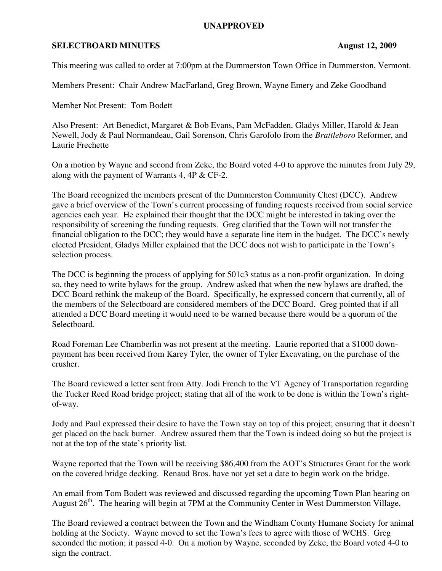## **UNAPPROVED**

## **SELECTBOARD MINUTES** August 12, 2009

This meeting was called to order at 7:00pm at the Dummerston Town Office in Dummerston, Vermont.

Members Present: Chair Andrew MacFarland, Greg Brown, Wayne Emery and Zeke Goodband

Member Not Present: Tom Bodett

Also Present: Art Benedict, Margaret & Bob Evans, Pam McFadden, Gladys Miller, Harold & Jean Newell, Jody & Paul Normandeau, Gail Sorenson, Chris Garofolo from the *Brattleboro* Reformer, and Laurie Frechette

On a motion by Wayne and second from Zeke, the Board voted 4-0 to approve the minutes from July 29, along with the payment of Warrants 4, 4P & CF-2.

The Board recognized the members present of the Dummerston Community Chest (DCC). Andrew gave a brief overview of the Town's current processing of funding requests received from social service agencies each year. He explained their thought that the DCC might be interested in taking over the responsibility of screening the funding requests. Greg clarified that the Town will not transfer the financial obligation to the DCC; they would have a separate line item in the budget. The DCC's newly elected President, Gladys Miller explained that the DCC does not wish to participate in the Town's selection process.

The DCC is beginning the process of applying for 501c3 status as a non-profit organization. In doing so, they need to write bylaws for the group. Andrew asked that when the new bylaws are drafted, the DCC Board rethink the makeup of the Board. Specifically, he expressed concern that currently, all of the members of the Selectboard are considered members of the DCC Board. Greg pointed that if all attended a DCC Board meeting it would need to be warned because there would be a quorum of the Selectboard.

Road Foreman Lee Chamberlin was not present at the meeting. Laurie reported that a \$1000 downpayment has been received from Karey Tyler, the owner of Tyler Excavating, on the purchase of the crusher.

The Board reviewed a letter sent from Atty. Jodi French to the VT Agency of Transportation regarding the Tucker Reed Road bridge project; stating that all of the work to be done is within the Town's rightof-way.

Jody and Paul expressed their desire to have the Town stay on top of this project; ensuring that it doesn't get placed on the back burner. Andrew assured them that the Town is indeed doing so but the project is not at the top of the state's priority list.

Wayne reported that the Town will be receiving \$86,400 from the AOT's Structures Grant for the work on the covered bridge decking. Renaud Bros. have not yet set a date to begin work on the bridge.

An email from Tom Bodett was reviewed and discussed regarding the upcoming Town Plan hearing on August 26<sup>th</sup>. The hearing will begin at 7PM at the Community Center in West Dummerston Village.

The Board reviewed a contract between the Town and the Windham County Humane Society for animal holding at the Society. Wayne moved to set the Town's fees to agree with those of WCHS. Greg seconded the motion; it passed 4-0. On a motion by Wayne, seconded by Zeke, the Board voted 4-0 to sign the contract.